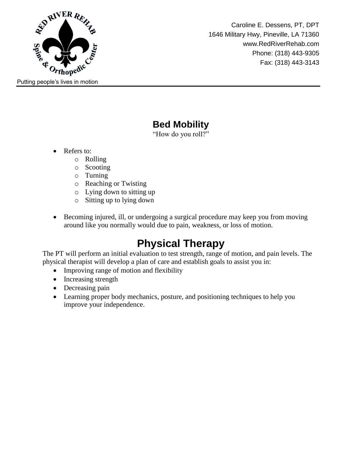

Caroline E. Dessens, PT, DPT 1646 Military Hwy, Pineville, LA 71360 www.RedRiverRehab.com Phone: (318) 443-9305 Fax: (318) 443-3143

## **Bed Mobility**

"How do you roll?"

- Refers to:
	- o Rolling
	- o Scooting
	- o Turning
	- o Reaching or Twisting
	- o Lying down to sitting up
	- o Sitting up to lying down
- Becoming injured, ill, or undergoing a surgical procedure may keep you from moving around like you normally would due to pain, weakness, or loss of motion.

# **Physical Therapy**

The PT will perform an initial evaluation to test strength, range of motion, and pain levels. The physical therapist will develop a plan of care and establish goals to assist you in:

- Improving range of motion and flexibility
- Increasing strength
- Decreasing pain
- Learning proper body mechanics, posture, and positioning techniques to help you improve your independence.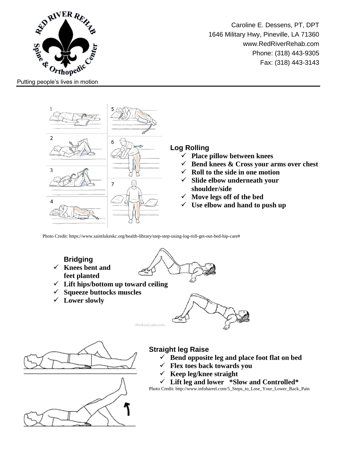

Caroline E. Dessens, PT, DPT 1646 Military Hwy, Pineville, LA 71360 www.RedRiverRehab.com Phone: (318) 443-9305 Fax: (318) 443-3143

Putting people's lives in motion



#### **Log Rolling**

- **Place pillow between knees**
- **Bend knees & Cross your arms over chest**
- **Roll to the side in one motion**
- **Slide elbow underneath your shoulder/side**
- **Move legs off of the bed**
- **Use elbow and hand to push up**

Photo Credit: https://www.saintlukeskc.org/health-library/step-step-using-log-roll-get-out-bed-hip-care#

### **Bridging**

- **Knees bent and feet planted**
- **Lift hips/bottom up toward ceiling**
- **Squeeze buttocks muscles**
- **Lower slowly**







#### **Straight leg Raise**

- $\checkmark$  Bend opposite leg and place foot flat on bed
- **Flex toes back towards you**
- $\checkmark$  Keep leg/knee straight

**Lift leg and lower \*Slow and Controlled\***

Photo Credit: http://www.infobarrel.com/5\_Steps\_to\_Lose\_Your\_Lower\_Back\_Pain